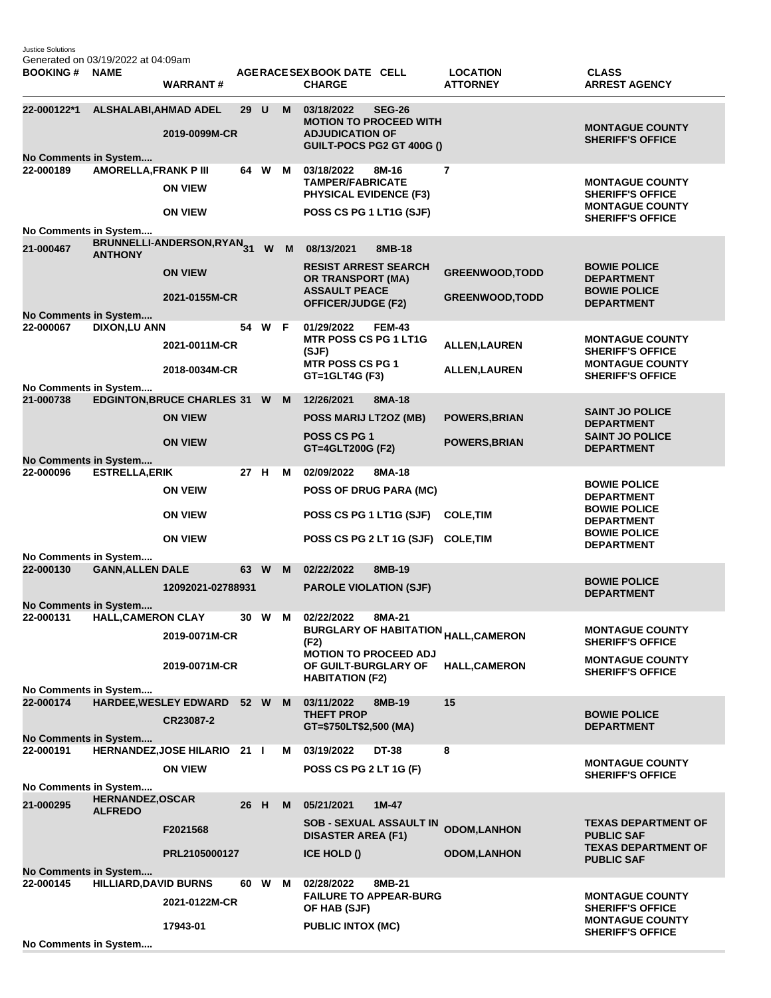Justice Solutions Generated on 03/19/2022 at 04:09am

| <b>BOOKING#</b>                                                                                         | <b>NAME</b>                               | <b>WARRANT#</b>                       |      |      |   | AGERACE SEX BOOK DATE CELL<br><b>CHARGE</b>                                                        |               | <b>LOCATION</b><br><b>ATTORNEY</b> | <b>CLASS</b><br><b>ARREST AGENCY</b>                                        |
|---------------------------------------------------------------------------------------------------------|-------------------------------------------|---------------------------------------|------|------|---|----------------------------------------------------------------------------------------------------|---------------|------------------------------------|-----------------------------------------------------------------------------|
| 22-000122*1<br>No Comments in System                                                                    | <b>ALSHALABI, AHMAD ADEL</b>              | 2019-0099M-CR                         | 29 U |      | M | 03/18/2022<br><b>MOTION TO PROCEED WITH</b><br><b>ADJUDICATION OF</b><br>GUILT-POCS PG2 GT 400G () | <b>SEG-26</b> |                                    | <b>MONTAGUE COUNTY</b><br><b>SHERIFF'S OFFICE</b>                           |
| 22-000189                                                                                               | <b>AMORELLA, FRANK P III</b>              |                                       |      | 64 W | M | 03/18/2022                                                                                         | 8M-16         | $\overline{7}$                     |                                                                             |
|                                                                                                         |                                           | <b>ON VIEW</b>                        |      |      |   | <b>TAMPER/FABRICATE</b><br><b>PHYSICAL EVIDENCE (F3)</b>                                           |               |                                    | <b>MONTAGUE COUNTY</b><br><b>SHERIFF'S OFFICE</b><br><b>MONTAGUE COUNTY</b> |
|                                                                                                         |                                           | <b>ON VIEW</b>                        |      |      |   | POSS CS PG 1 LT1G (SJF)                                                                            |               |                                    | <b>SHERIFF'S OFFICE</b>                                                     |
| No Comments in System                                                                                   |                                           |                                       |      |      |   |                                                                                                    |               |                                    |                                                                             |
| 21-000467                                                                                               | <b>ANTHONY</b>                            | BRUNNELLI-ANDERSON,RYAN <sub>31</sub> |      | W    | M | 08/13/2021<br><b>RESIST ARREST SEARCH</b>                                                          | 8MB-18        |                                    | <b>BOWIE POLICE</b>                                                         |
|                                                                                                         |                                           | <b>ON VIEW</b>                        |      |      |   | <b>OR TRANSPORT (MA)</b><br><b>ASSAULT PEACE</b>                                                   |               | <b>GREENWOOD, TODD</b>             | <b>DEPARTMENT</b><br><b>BOWIE POLICE</b>                                    |
|                                                                                                         |                                           | 2021-0155M-CR                         |      |      |   | <b>OFFICER/JUDGE (F2)</b>                                                                          |               | <b>GREENWOOD, TODD</b>             | <b>DEPARTMENT</b>                                                           |
| No Comments in System<br>22-000067                                                                      |                                           |                                       |      | 54 W | F | 01/29/2022                                                                                         | <b>FEM-43</b> |                                    |                                                                             |
|                                                                                                         | <b>DIXON,LU ANN</b>                       | 2021-0011M-CR                         |      |      |   | <b>MTR POSS CS PG 1 LT1G</b><br>(SJF)                                                              |               | <b>ALLEN, LAUREN</b>               | <b>MONTAGUE COUNTY</b><br><b>SHERIFF'S OFFICE</b>                           |
|                                                                                                         |                                           | 2018-0034M-CR                         |      |      |   | <b>MTR POSS CS PG 1</b><br>GT=1GLT4G (F3)                                                          |               | <b>ALLEN, LAUREN</b>               | <b>MONTAGUE COUNTY</b><br><b>SHERIFF'S OFFICE</b>                           |
| No Comments in System                                                                                   |                                           |                                       |      |      |   |                                                                                                    |               |                                    |                                                                             |
| 21-000738                                                                                               |                                           | EDGINTON, BRUCE CHARLES 31 W          |      |      | M | 12/26/2021                                                                                         | 8MA-18        |                                    |                                                                             |
|                                                                                                         |                                           | <b>ON VIEW</b>                        |      |      |   | POSS MARIJ LT2OZ (MB)                                                                              |               | <b>POWERS, BRIAN</b>               | <b>SAINT JO POLICE</b><br><b>DEPARTMENT</b>                                 |
|                                                                                                         |                                           | <b>ON VIEW</b>                        |      |      |   | POSS CS PG 1<br>GT=4GLT200G (F2)                                                                   |               | <b>POWERS, BRIAN</b>               | <b>SAINT JO POLICE</b><br><b>DEPARTMENT</b>                                 |
| No Comments in System<br>22-000096                                                                      | <b>ESTRELLA, ERIK</b>                     |                                       | 27 H |      | м | 02/09/2022                                                                                         | 8MA-18        |                                    |                                                                             |
|                                                                                                         |                                           | <b>ON VEIW</b>                        |      |      |   | POSS OF DRUG PARA (MC)                                                                             |               |                                    | <b>BOWIE POLICE</b><br><b>DEPARTMENT</b>                                    |
|                                                                                                         |                                           | <b>ON VIEW</b>                        |      |      |   | POSS CS PG 1 LT1G (SJF)                                                                            |               | <b>COLE, TIM</b>                   | <b>BOWIE POLICE</b><br><b>DEPARTMENT</b><br><b>BOWIE POLICE</b>             |
|                                                                                                         |                                           | <b>ON VIEW</b>                        |      |      |   | POSS CS PG 2 LT 1G (SJF) COLE, TIM                                                                 |               |                                    | <b>DEPARTMENT</b>                                                           |
| No Comments in System                                                                                   |                                           |                                       |      |      |   |                                                                                                    |               |                                    |                                                                             |
| 22-000130                                                                                               | <b>GANN, ALLEN DALE</b>                   |                                       |      | 63 W | M | 02/22/2022                                                                                         | 8MB-19        |                                    | <b>BOWIE POLICE</b>                                                         |
|                                                                                                         |                                           | 12092021-02788931                     |      |      |   | <b>PAROLE VIOLATION (SJF)</b>                                                                      |               |                                    | <b>DEPARTMENT</b>                                                           |
| No Comments in System<br>22-000131                                                                      | <b>HALL, CAMERON CLAY</b>                 |                                       | 30   | W    | м | 02/22/2022                                                                                         | 8MA-21        |                                    |                                                                             |
|                                                                                                         |                                           | 2019-0071M-CR                         |      |      |   | <b>BURGLARY OF HABITATION</b><br>(F2)                                                              |               | <b>HALL, CAMERON</b>               | <b>MONTAGUE COUNTY</b><br><b>SHERIFF'S OFFICE</b>                           |
|                                                                                                         |                                           | 2019-0071M-CR                         |      |      |   | <b>MOTION TO PROCEED ADJ</b><br>OF GUILT-BURGLARY OF<br><b>HABITATION (F2)</b>                     |               | <b>HALL,CAMERON</b>                | <b>MONTAGUE COUNTY</b><br><b>SHERIFF'S OFFICE</b>                           |
| No Comments in System                                                                                   |                                           |                                       |      |      |   |                                                                                                    |               |                                    |                                                                             |
| 22-000174                                                                                               |                                           | HARDEE, WESLEY EDWARD 52 W M          |      |      |   | 03/11/2022                                                                                         | 8MB-19        | 15                                 |                                                                             |
|                                                                                                         |                                           | CR23087-2                             |      |      |   | <b>THEFT PROP</b><br>GT=\$750LT\$2,500 (MA)                                                        |               |                                    | <b>BOWIE POLICE</b><br><b>DEPARTMENT</b>                                    |
| No Comments in System                                                                                   |                                           |                                       |      |      |   |                                                                                                    |               |                                    |                                                                             |
| 22-000191                                                                                               |                                           | HERNANDEZ, JOSE HILARIO 21 I          |      |      | м | 03/19/2022                                                                                         | <b>DT-38</b>  | 8                                  | <b>MONTAGUE COUNTY</b>                                                      |
|                                                                                                         |                                           | <b>ON VIEW</b>                        |      |      |   | POSS CS PG 2 LT 1G (F)                                                                             |               |                                    | <b>SHERIFF'S OFFICE</b>                                                     |
| No Comments in System                                                                                   |                                           |                                       |      |      |   |                                                                                                    |               |                                    |                                                                             |
| 21-000295                                                                                               | <b>HERNANDEZ, OSCAR</b><br><b>ALFREDO</b> |                                       | 26 H |      | M | 05/21/2021                                                                                         | $1M-47$       |                                    |                                                                             |
|                                                                                                         |                                           | F2021568                              |      |      |   | <b>SOB - SEXUAL ASSAULT IN</b><br><b>DISASTER AREA (F1)</b>                                        |               | <b>ODOM,LANHON</b>                 | <b>TEXAS DEPARTMENT OF</b><br><b>PUBLIC SAF</b>                             |
|                                                                                                         |                                           | PRL2105000127                         |      |      |   | <b>ICE HOLD ()</b>                                                                                 |               | <b>ODOM,LANHON</b>                 | <b>TEXAS DEPARTMENT OF</b><br><b>PUBLIC SAF</b>                             |
| No Comments in System<br><b>HILLIARD, DAVID BURNS</b><br>22-000145<br>60 W<br>02/28/2022<br>8MB-21<br>М |                                           |                                       |      |      |   |                                                                                                    |               |                                    |                                                                             |
|                                                                                                         |                                           | 2021-0122M-CR                         |      |      |   | <b>FAILURE TO APPEAR-BURG</b><br>OF HAB (SJF)                                                      |               |                                    | <b>MONTAGUE COUNTY</b><br><b>SHERIFF'S OFFICE</b>                           |
|                                                                                                         |                                           | 17943-01                              |      |      |   | <b>PUBLIC INTOX (MC)</b>                                                                           |               |                                    | <b>MONTAGUE COUNTY</b><br><b>SHERIFF'S OFFICE</b>                           |
| No Comments in System                                                                                   |                                           |                                       |      |      |   |                                                                                                    |               |                                    |                                                                             |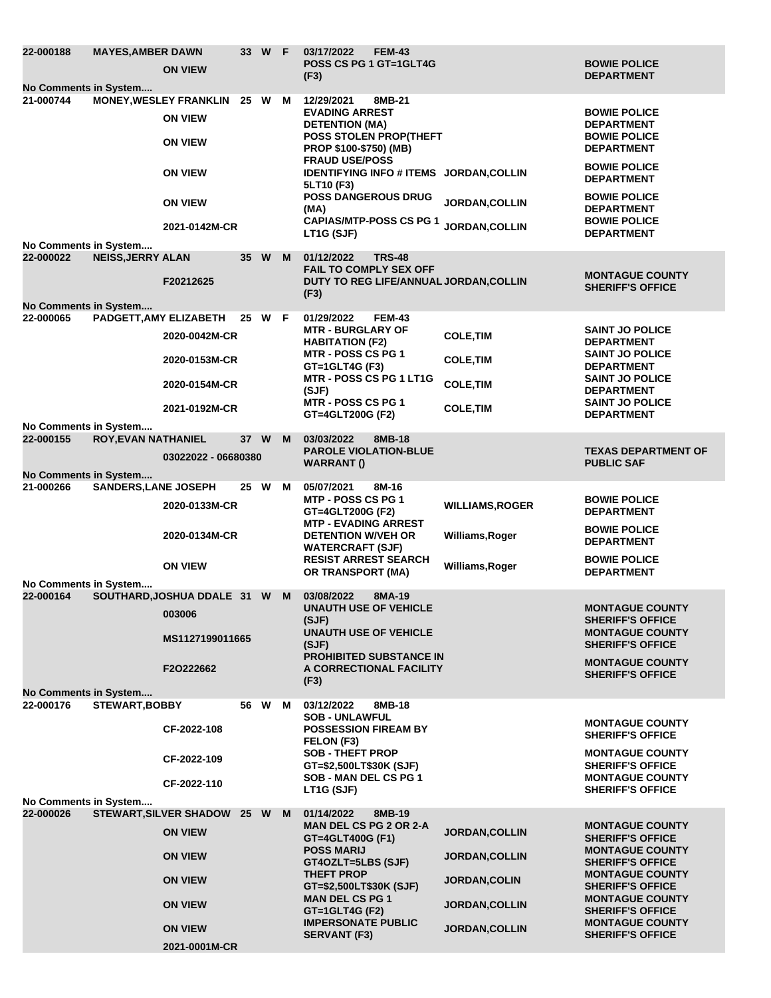| 22-000188<br>No Comments in System                          | <b>MAYES, AMBER DAWN</b>    | <b>ON VIEW</b>                                                                                                                           |      | 33 W F |   | 03/17/2022<br><b>FEM-43</b><br><b>POSS CS PG 1 GT=1GLT4G</b><br>(F3)                                                                                                                                                                                                      |                                                                                                                          | <b>BOWIE POLICE</b><br><b>DEPARTMENT</b>                                                                                                                                                                                                                              |
|-------------------------------------------------------------|-----------------------------|------------------------------------------------------------------------------------------------------------------------------------------|------|--------|---|---------------------------------------------------------------------------------------------------------------------------------------------------------------------------------------------------------------------------------------------------------------------------|--------------------------------------------------------------------------------------------------------------------------|-----------------------------------------------------------------------------------------------------------------------------------------------------------------------------------------------------------------------------------------------------------------------|
| 21-000744                                                   |                             | <b>MONEY, WESLEY FRANKLIN</b><br><b>ON VIEW</b><br><b>ON VIEW</b><br><b>ON VIEW</b>                                                      | 25 W |        | м | 8MB-21<br>12/29/2021<br><b>EVADING ARREST</b><br><b>DETENTION (MA)</b><br><b>POSS STOLEN PROP(THEFT</b><br><b>PROP \$100-\$750) (MB)</b><br><b>FRAUD USE/POSS</b><br>IDENTIFYING INFO # ITEMS JORDAN, COLLIN<br>5LT10 (F3)                                                |                                                                                                                          | <b>BOWIE POLICE</b><br><b>DEPARTMENT</b><br><b>BOWIE POLICE</b><br><b>DEPARTMENT</b><br><b>BOWIE POLICE</b><br><b>DEPARTMENT</b>                                                                                                                                      |
|                                                             |                             | <b>ON VIEW</b><br>2021-0142M-CR                                                                                                          |      |        |   | <b>POSS DANGEROUS DRUG</b><br>(MA)<br><b>CAPIAS/MTP-POSS CS PG 1</b><br>LT1G (SJF)                                                                                                                                                                                        | <b>JORDAN, COLLIN</b><br><b>JORDAN.COLLIN</b>                                                                            | <b>BOWIE POLICE</b><br><b>DEPARTMENT</b><br><b>BOWIE POLICE</b><br><b>DEPARTMENT</b>                                                                                                                                                                                  |
| No Comments in System<br>22-000022                          | <b>NEISS, JERRY ALAN</b>    |                                                                                                                                          |      | 35 W   | M | 01/12/2022<br><b>TRS-48</b><br><b>FAIL TO COMPLY SEX OFF</b>                                                                                                                                                                                                              |                                                                                                                          |                                                                                                                                                                                                                                                                       |
|                                                             |                             | F20212625                                                                                                                                |      |        |   | DUTY TO REG LIFE/ANNUAL JORDAN, COLLIN<br>(F3)                                                                                                                                                                                                                            |                                                                                                                          | <b>MONTAGUE COUNTY</b><br><b>SHERIFF'S OFFICE</b>                                                                                                                                                                                                                     |
| No Comments in System<br>22-000065                          | PADGETT, AMY ELIZABETH      | 2020-0042M-CR<br>2020-0153M-CR<br>2020-0154M-CR<br>2021-0192M-CR                                                                         |      | 25 W F |   | 01/29/2022<br><b>FEM-43</b><br><b>MTR - BURGLARY OF</b><br><b>HABITATION (F2)</b><br><b>MTR - POSS CS PG 1</b><br>GT=1GLT4G (F3)<br><b>MTR - POSS CS PG 1 LT1G</b><br>(SJF)<br><b>MTR - POSS CS PG 1</b><br>GT=4GLT200G (F2)                                              | <b>COLE, TIM</b><br><b>COLE, TIM</b><br><b>COLE, TIM</b><br><b>COLE, TIM</b>                                             | <b>SAINT JO POLICE</b><br><b>DEPARTMENT</b><br><b>SAINT JO POLICE</b><br><b>DEPARTMENT</b><br><b>SAINT JO POLICE</b><br><b>DEPARTMENT</b><br><b>SAINT JO POLICE</b><br><b>DEPARTMENT</b>                                                                              |
| No Comments in System<br>22-000155                          | <b>ROY, EVAN NATHANIEL</b>  | 03022022 - 06680380                                                                                                                      | 37 W |        | M | 03/03/2022<br>8MB-18<br><b>PAROLE VIOLATION-BLUE</b><br><b>WARRANT()</b>                                                                                                                                                                                                  |                                                                                                                          | <b>TEXAS DEPARTMENT OF</b><br><b>PUBLIC SAF</b>                                                                                                                                                                                                                       |
| No Comments in System<br>21-000266                          | <b>SANDERS, LANE JOSEPH</b> | 2020-0133M-CR<br>2020-0134M-CR<br><b>ON VIEW</b>                                                                                         | 25 W |        | M | 05/07/2021<br>8M-16<br><b>MTP - POSS CS PG 1</b><br>GT=4GLT200G (F2)<br><b>MTP - EVADING ARREST</b><br><b>DETENTION W/VEH OR</b><br><b>WATERCRAFT (SJF)</b><br><b>RESIST ARREST SEARCH</b><br>OR TRANSPORT (MA)                                                           | <b>WILLIAMS, ROGER</b><br>Williams, Roger<br>Williams, Roger                                                             | <b>BOWIE POLICE</b><br><b>DEPARTMENT</b><br><b>BOWIE POLICE</b><br><b>DEPARTMENT</b><br><b>BOWIE POLICE</b><br><b>DEPARTMENT</b>                                                                                                                                      |
| No Comments in System<br>22-000164<br>No Comments in System |                             | SOUTHARD, JOSHUA DDALE 31 W<br>003006<br>MS1127199011665<br>F2O222662                                                                    |      |        | M | 03/08/2022<br>8MA-19<br><b>UNAUTH USE OF VEHICLE</b><br>(SJF)<br><b>UNAUTH USE OF VEHICLE</b><br>(SJF)<br><b>PROHIBITED SUBSTANCE IN</b><br>A CORRECTIONAL FACILITY<br>(F3)                                                                                               |                                                                                                                          | <b>MONTAGUE COUNTY</b><br><b>SHERIFF'S OFFICE</b><br><b>MONTAGUE COUNTY</b><br><b>SHERIFF'S OFFICE</b><br><b>MONTAGUE COUNTY</b><br><b>SHERIFF'S OFFICE</b>                                                                                                           |
| 22-000176                                                   | <b>STEWART, BOBBY</b>       | CF-2022-108<br>CF-2022-109<br>CF-2022-110                                                                                                |      | 56 W   | M | 03/12/2022<br>8MB-18<br><b>SOB - UNLAWFUL</b><br><b>POSSESSION FIREAM BY</b><br>FELON (F3)<br><b>SOB - THEFT PROP</b><br>GT=\$2,500LT\$30K (SJF)<br>SOB - MAN DEL CS PG 1<br>LT1G (SJF)                                                                                   |                                                                                                                          | <b>MONTAGUE COUNTY</b><br><b>SHERIFF'S OFFICE</b><br><b>MONTAGUE COUNTY</b><br><b>SHERIFF'S OFFICE</b><br><b>MONTAGUE COUNTY</b><br><b>SHERIFF'S OFFICE</b>                                                                                                           |
| No Comments in System<br>22-000026                          |                             | STEWART, SILVER SHADOW 25 W M<br><b>ON VIEW</b><br><b>ON VIEW</b><br><b>ON VIEW</b><br><b>ON VIEW</b><br><b>ON VIEW</b><br>2021-0001M-CR |      |        |   | 01/14/2022<br>8MB-19<br><b>MAN DEL CS PG 2 OR 2-A</b><br>GT=4GLT400G (F1)<br><b>POSS MARIJ</b><br>GT4OZLT=5LBS (SJF)<br><b>THEFT PROP</b><br>GT=\$2,500LT\$30K (SJF)<br><b>MAN DEL CS PG 1</b><br>$GT = 1$ GLT4G (F2)<br><b>IMPERSONATE PUBLIC</b><br><b>SERVANT (F3)</b> | <b>JORDAN, COLLIN</b><br><b>JORDAN, COLLIN</b><br><b>JORDAN, COLIN</b><br><b>JORDAN, COLLIN</b><br><b>JORDAN, COLLIN</b> | <b>MONTAGUE COUNTY</b><br><b>SHERIFF'S OFFICE</b><br><b>MONTAGUE COUNTY</b><br><b>SHERIFF'S OFFICE</b><br><b>MONTAGUE COUNTY</b><br><b>SHERIFF'S OFFICE</b><br><b>MONTAGUE COUNTY</b><br><b>SHERIFF'S OFFICE</b><br><b>MONTAGUE COUNTY</b><br><b>SHERIFF'S OFFICE</b> |